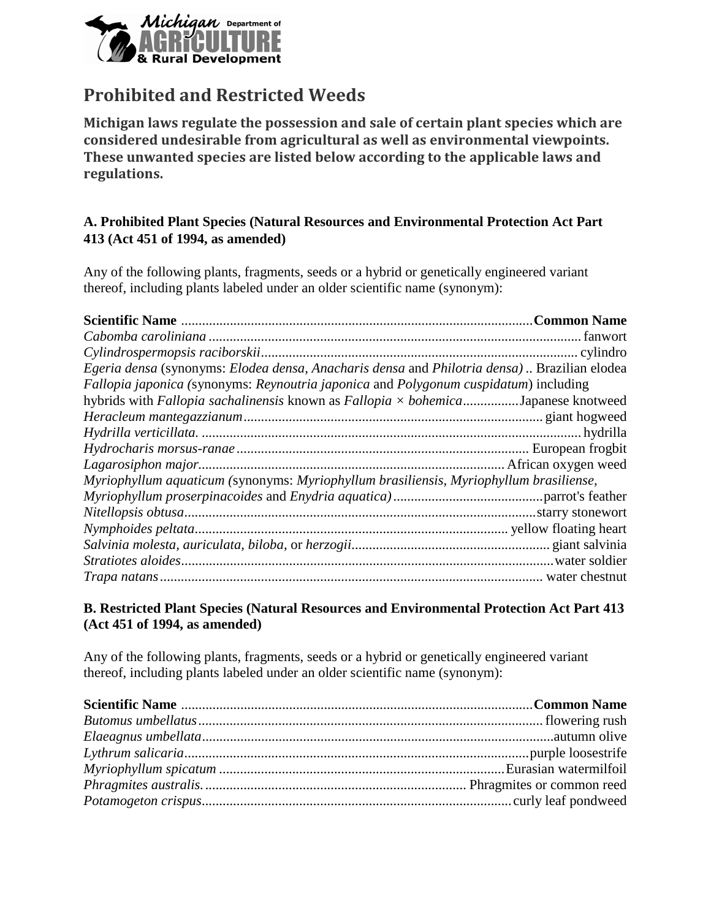

# **Prohibited and Restricted Weeds**

**Michigan laws regulate the possession and sale of certain plant species which are considered undesirable from agricultural as well as environmental viewpoints. These unwanted species are listed below according to the applicable laws and regulations.**

## **A. Prohibited Plant Species (Natural Resources and Environmental Protection Act Part 413 (Act 451 of 1994, as amended)**

Any of the following plants, fragments, seeds or a hybrid or genetically engineered variant thereof, including plants labeled under an older scientific name (synonym):

| Egeria densa (synonyms: Elodea densa, Anacharis densa and Philotria densa) Brazilian elodea |  |
|---------------------------------------------------------------------------------------------|--|
| Fallopia japonica (synonyms: Reynoutria japonica and Polygonum cuspidatum) including        |  |
| hybrids with Fallopia sachalinensis known as Fallopia × bohemicaJapanese knotweed           |  |
|                                                                                             |  |
|                                                                                             |  |
|                                                                                             |  |
|                                                                                             |  |
| Myriophyllum aquaticum (synonyms: Myriophyllum brasiliensis, Myriophyllum brasiliense,      |  |
|                                                                                             |  |
|                                                                                             |  |
|                                                                                             |  |
|                                                                                             |  |
|                                                                                             |  |
|                                                                                             |  |

### **B. Restricted Plant Species (Natural Resources and Environmental Protection Act Part 413 (Act 451 of 1994, as amended)**

Any of the following plants, fragments, seeds or a hybrid or genetically engineered variant thereof, including plants labeled under an older scientific name (synonym):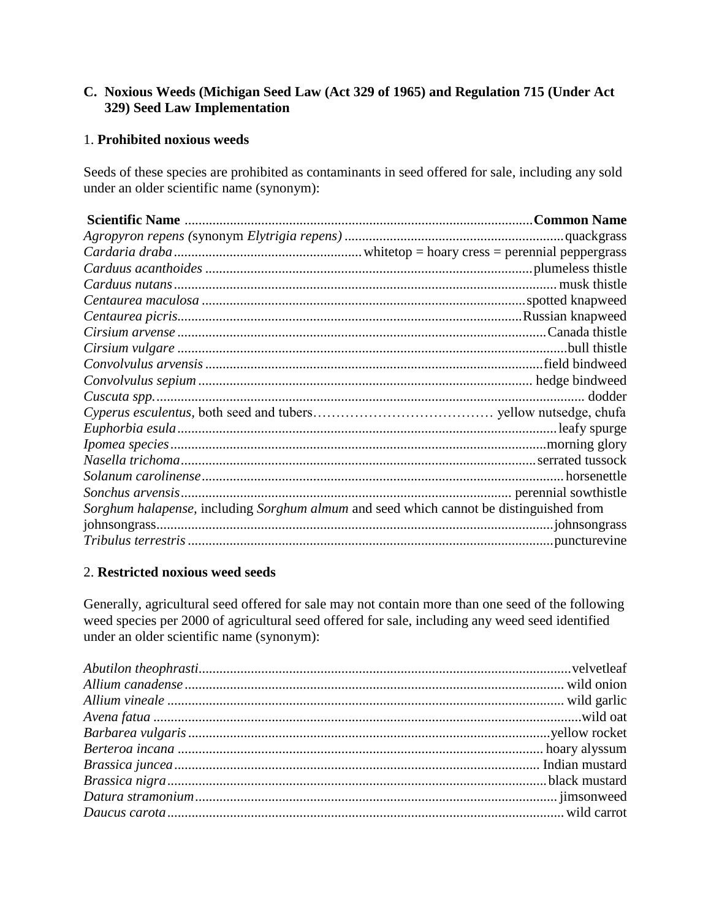### **C. Noxious Weeds (Michigan Seed Law (Act 329 of 1965) and Regulation 715 (Under Act 329) Seed Law Implementation**

#### 1. **Prohibited noxious weeds**

Seeds of these species are prohibited as contaminants in seed offered for sale, including any sold under an older scientific name (synonym):

| Sorghum halapense, including Sorghum almum and seed which cannot be distinguished from |  |
|----------------------------------------------------------------------------------------|--|
|                                                                                        |  |
|                                                                                        |  |

#### 2. **Restricted noxious weed seeds**

Generally, agricultural seed offered for sale may not contain more than one seed of the following weed species per 2000 of agricultural seed offered for sale, including any weed seed identified under an older scientific name (synonym):